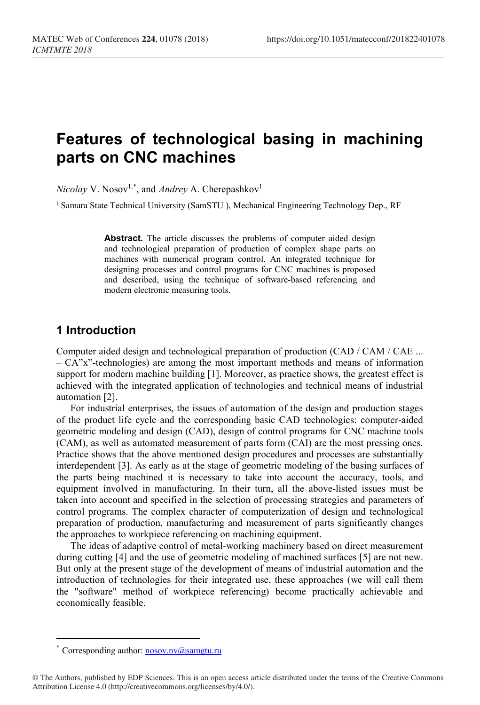# **Features of technological basing in machining parts on CNC machines**

*Nicolay* V. Nosov<sup>1,[\\*](#page-0-0)</sup>, and *Andrey* A. Cherepashkov<sup>1</sup>

<sup>1</sup> Samara State Technical University (SamSTU ), Mechanical Engineering Technology Dep., RF

**Abstract.** The article discusses the problems of computer aided design and technological preparation of production of complex shape parts on machines with numerical program control. An integrated technique for designing processes and control programs for CNC machines is proposed and described, using the technique of software-based referencing and modern electronic measuring tools.

#### **1 Introduction**

Computer aided design and technological preparation of production (CAD / CAM / CAE ... – CA"х"-technologies) are among the most important methods and means of information support for modern machine building [1]. Moreover, as practice shows, the greatest effect is achieved with the integrated application of technologies and technical means of industrial automation [2].

For industrial enterprises, the issues of automation of the design and production stages of the product life cycle and the corresponding basic CAD technologies: computer-aided geometric modeling and design (CAD), design of control programs for CNC machine tools (CAM), as well as automated measurement of parts form (CAI) are the most pressing ones. Practice shows that the above mentioned design procedures and processes are substantially interdependent [3]. As early as at the stage of geometric modeling of the basing surfaces of the parts being machined it is necessary to take into account the accuracy, tools, and equipment involved in manufacturing. In their turn, all the above-listed issues must be taken into account and specified in the selection of processing strategies and parameters of control programs. The complex character of computerization of design and technological preparation of production, manufacturing and measurement of parts significantly changes the approaches to workpiece referencing on machining equipment.

The ideas of adaptive control of metal-working machinery based on direct measurement during cutting [4] and the use of geometric modeling of machined surfaces [5] are not new. But only at the present stage of the development of means of industrial automation and the introduction of technologies for their integrated use, these approaches (we will call them the "software" method of workpiece referencing) become practically achievable and economically feasible.

 $\overline{a}$ 

Corresponding author:  $nosov.nv@samgtu.ru$ 

<span id="page-0-0"></span><sup>©</sup> The Authors, published by EDP Sciences. This is an open access article distributed under the terms of the Creative Commons Attribution License 4.0 (http://creativecommons.org/licenses/by/4.0/).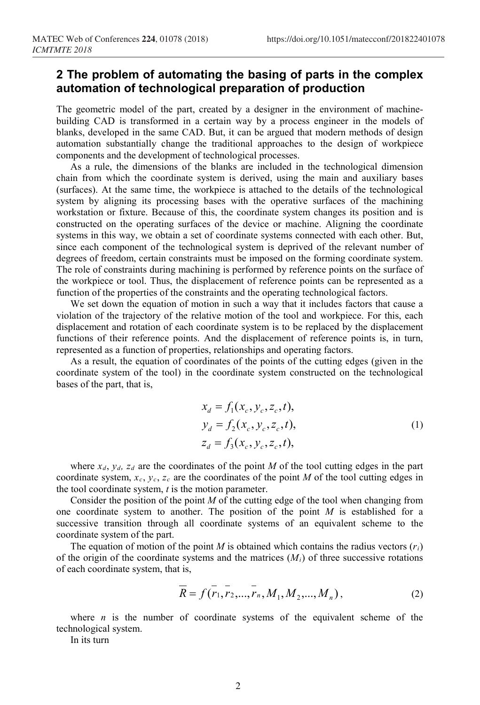## **2 The problem of automating the basing of parts in the complex automation of technological preparation of production**

The geometric model of the part, created by a designer in the environment of machinebuilding CAD is transformed in a certain way by a process engineer in the models of blanks, developed in the same CAD. But, it can be argued that modern methods of design automation substantially change the traditional approaches to the design of workpiece components and the development of technological processes.

As a rule, the dimensions of the blanks are included in the technological dimension chain from which the coordinate system is derived, using the main and auxiliary bases (surfaces). At the same time, the workpiece is attached to the details of the technological system by aligning its processing bases with the operative surfaces of the machining workstation or fixture. Because of this, the coordinate system changes its position and is constructed on the operating surfaces of the device or machine. Aligning the coordinate systems in this way, we obtain a set of coordinate systems connected with each other. But, since each component of the technological system is deprived of the relevant number of degrees of freedom, certain constraints must be imposed on the forming coordinate system. The role of constraints during machining is performed by reference points on the surface of the workpiece or tool. Thus, the displacement of reference points can be represented as a function of the properties of the constraints and the operating technological factors.

We set down the equation of motion in such a way that it includes factors that cause a violation of the trajectory of the relative motion of the tool and workpiece. For this, each displacement and rotation of each coordinate system is to be replaced by the displacement functions of their reference points. And the displacement of reference points is, in turn, represented as a function of properties, relationships and operating factors.

As a result, the equation of coordinates of the points of the cutting edges (given in the coordinate system of the tool) in the coordinate system constructed on the technological bases of the part, that is,

$$
x_d = f_1(x_c, y_c, z_c, t),
$$
  
\n
$$
y_d = f_2(x_c, y_c, z_c, t),
$$
  
\n
$$
z_d = f_3(x_c, y_c, z_c, t),
$$
  
\n(1)

where  $x_d$ ,  $y_d$ ,  $z_d$  are the coordinates of the point *M* of the tool cutting edges in the part coordinate system,  $x_c$ ,  $y_c$ ,  $z_c$  are the coordinates of the point *M* of the tool cutting edges in the tool coordinate system, *t* is the motion parameter.

Consider the position of the point  $M$  of the cutting edge of the tool when changing from one coordinate system to another. The position of the point *M* is established for a successive transition through all coordinate systems of an equivalent scheme to the coordinate system of the part.

The equation of motion of the point *M* is obtained which contains the radius vectors  $(r_i)$ of the origin of the coordinate systems and the matrices  $(M<sub>i</sub>)$  of three successive rotations of each coordinate system, that is,

$$
\overline{R} = f(\overline{r_1, r_2, ..., r_n}, M_1, M_2, ..., M_n),
$$
\n(2)

where *n* is the number of coordinate systems of the equivalent scheme of the technological system.

In its turn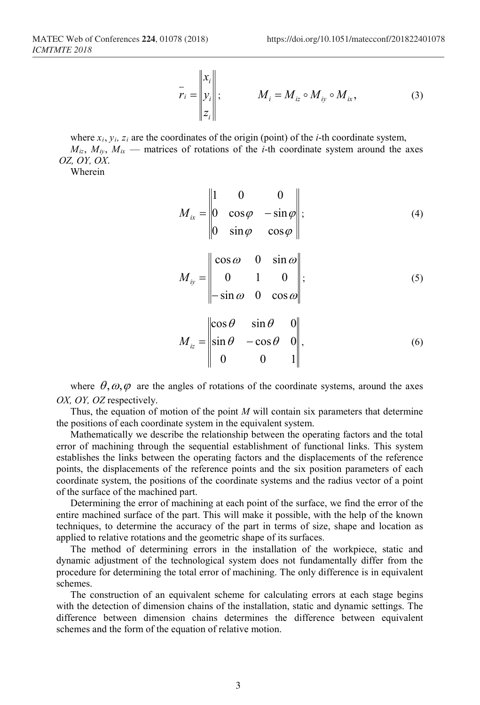$$
\overline{r_i} = \begin{vmatrix} x_i \\ y_i \\ z_i \end{vmatrix}; \qquad M_i = M_{iz} \circ M_{iy} \circ M_{ix}, \qquad (3)
$$

where  $x_i$ ,  $y_i$ ,  $z_i$  are the coordinates of the origin (point) of the *i*-th coordinate system,  $M_{iz}$ ,  $M_{iy}$ ,  $M_{ix}$  — matrices of rotations of the *i*-th coordinate system around the axes *OZ, OY, OX*.

Wherein

$$
M_{ix} = \begin{vmatrix} 1 & 0 & 0 \\ 0 & \cos\varphi & -\sin\varphi \\ 0 & \sin\varphi & \cos\varphi \end{vmatrix};
$$
 (4)

$$
M_{iy} = \begin{vmatrix} \cos \omega & 0 & \sin \omega \\ 0 & 1 & 0 \\ -\sin \omega & 0 & \cos \omega \end{vmatrix};
$$
 (5)

$$
M_{iz} = \begin{vmatrix} \cos \theta & \sin \theta & 0 \\ \sin \theta & -\cos \theta & 0 \\ 0 & 0 & 1 \end{vmatrix},
$$
 (6)

where  $\theta$ ,  $\omega$ ,  $\varphi$  are the angles of rotations of the coordinate systems, around the axes *OX, OY, OZ* respectively.

Thus, the equation of motion of the point *M* will contain six parameters that determine the positions of each coordinate system in the equivalent system.

Mathematically we describe the relationship between the operating factors and the total error of machining through the sequential establishment of functional links. This system establishes the links between the operating factors and the displacements of the reference points, the displacements of the reference points and the six position parameters of each coordinate system, the positions of the coordinate systems and the radius vector of a point of the surface of the machined part.

Determining the error of machining at each point of the surface, we find the error of the entire machined surface of the part. This will make it possible, with the help of the known techniques, to determine the accuracy of the part in terms of size, shape and location as applied to relative rotations and the geometric shape of its surfaces.

The method of determining errors in the installation of the workpiece, static and dynamic adjustment of the technological system does not fundamentally differ from the procedure for determining the total error of machining. The only difference is in equivalent schemes.

The construction of an equivalent scheme for calculating errors at each stage begins with the detection of dimension chains of the installation, static and dynamic settings. The difference between dimension chains determines the difference between equivalent schemes and the form of the equation of relative motion.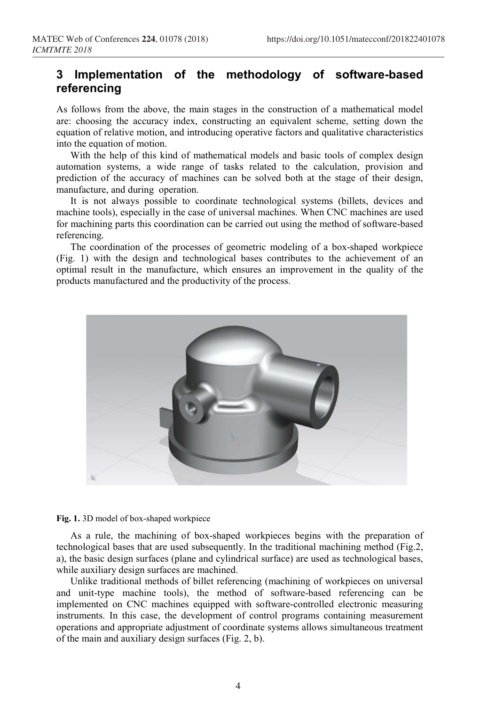# **3 Implementation of the methodology of software-based referencing**

As follows from the above, the main stages in the construction of a mathematical model are: choosing the accuracy index, constructing an equivalent scheme, setting down the equation of relative motion, and introducing operative factors and qualitative characteristics into the equation of motion.

With the help of this kind of mathematical models and basic tools of complex design automation systems, a wide range of tasks related to the calculation, provision and prediction of the accuracy of machines can be solved both at the stage of their design, manufacture, and during operation.

It is not always possible to coordinate technological systems (billets, devices and machine tools), especially in the case of universal machines. When CNC machines are used for machining parts this coordination can be carried out using the method of software-based referencing.

The coordination of the processes of geometric modeling of a box-shaped workpiece (Fig. 1) with the design and technological bases contributes to the achievement of an optimal result in the manufacture, which ensures an improvement in the quality of the products manufactured and the productivity of the process.



#### **Fig. 1.** 3D model of box-[shaped workpiece](https://www.multitran.ru/c/m.exe?t=2105415_1_2&s1=%EA%EE%F0%EF%F3%F1%ED%E0%FF%20%E4%E5%F2%E0%EB%FC)

As a rule, the machining of box-shaped workpieces begins with the preparation of technological bases that are used subsequently. In the traditional machining method (Fig.2, a), the basic design surfaces (plane and cylindrical surface) are used as technological bases, while auxiliary design surfaces are machined.

Unlike traditional methods of billet referencing (machining of workpieces on universal and unit-type machine tools), the method of software-based referencing can be implemented on CNC machines equipped with software-controlled electronic measuring instruments. In this case, the development of control programs containing measurement operations and appropriate adjustment of coordinate systems allows simultaneous treatment of the main and auxiliary design surfaces (Fig. 2, b).